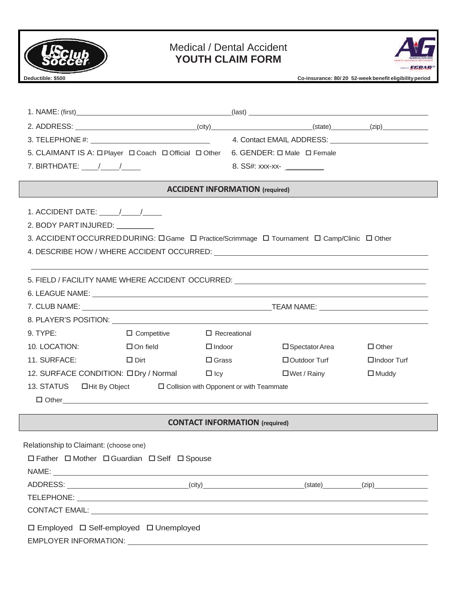

# Medical / Dental Accident **YOUTH CLAIM FORM**



**Deductible: \$500 Co-insurance: 80 / 20 52-week benefit eligibility period**

| 5. CLAIMANT IS A: O Player O Coach O Official O Other 6. GENDER: O Male O Female         |                                       |                              |                    |  |  |  |
|------------------------------------------------------------------------------------------|---------------------------------------|------------------------------|--------------------|--|--|--|
| 7. BIRTHDATE: $\frac{1}{\sqrt{2}}$                                                       |                                       | 8. SS#: xxx-xx- ____________ |                    |  |  |  |
| <b>ACCIDENT INFORMATION</b> (required)                                                   |                                       |                              |                    |  |  |  |
| 1. ACCIDENT DATE: $\frac{1}{\sqrt{1-\frac{1}{2}}}$                                       |                                       |                              |                    |  |  |  |
| 2. BODY PART INJURED: VELOCITY                                                           |                                       |                              |                    |  |  |  |
| 3. ACCIDENTOCCURREDDURING: CGame C Practice/Scrimmage C Tournament C Camp/Clinic C Other |                                       |                              |                    |  |  |  |
|                                                                                          |                                       |                              |                    |  |  |  |
|                                                                                          |                                       |                              |                    |  |  |  |
|                                                                                          |                                       |                              |                    |  |  |  |
|                                                                                          |                                       |                              |                    |  |  |  |
|                                                                                          |                                       |                              |                    |  |  |  |
|                                                                                          |                                       |                              |                    |  |  |  |
| 9. TYPE:<br>$\Box$ Competitive $\Box$ Recreational                                       |                                       |                              |                    |  |  |  |
| 10. LOCATION:<br>$\Box$ On field                                                         | $\Box$ Indoor                         | $\square$ Spectator Area     | $\Box$ Other       |  |  |  |
| 11. SURFACE:<br>Designed in the Dirt                                                     | $\square$ Grass                       | $\Box$ Outdoor Turf          | $\Box$ Indoor Turf |  |  |  |
| 12. SURFACE CONDITION: ODry / Normal Olcy                                                |                                       | □Wet / Rainy                 | $\Box$ Muddy       |  |  |  |
| 13. STATUS ElHit By Object<br>$\Box$ Collision with Opponent or with Teammate            |                                       |                              |                    |  |  |  |
| $\Box$ $\Box$ $\Box$                                                                     |                                       |                              |                    |  |  |  |
|                                                                                          | <b>CONTACT INFORMATION</b> (required) |                              |                    |  |  |  |
|                                                                                          |                                       |                              |                    |  |  |  |
| Relationship to Claimant: (choose one)                                                   |                                       |                              |                    |  |  |  |
| □ Father □ Mother □ Guardian □ Self □ Spouse                                             |                                       |                              |                    |  |  |  |
|                                                                                          |                                       |                              |                    |  |  |  |
|                                                                                          |                                       |                              |                    |  |  |  |
|                                                                                          |                                       |                              |                    |  |  |  |
|                                                                                          |                                       |                              |                    |  |  |  |
| □ Employed □ Self-employed □ Unemployed                                                  |                                       |                              |                    |  |  |  |
|                                                                                          |                                       |                              |                    |  |  |  |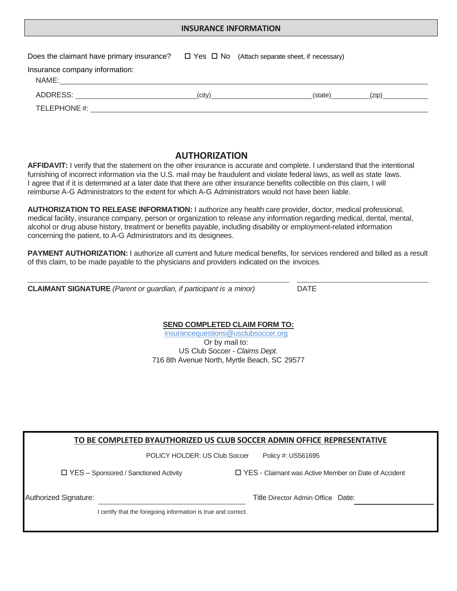#### **INSURANCE INFORMATION**

| Does the claimant have primary insurance? $\square$ Yes $\square$ No (Attach separate sheet, if necessary)                                                                                                                                                       |                   |          |
|------------------------------------------------------------------------------------------------------------------------------------------------------------------------------------------------------------------------------------------------------------------|-------------------|----------|
| Insurance company information:<br>NAME: The contract of the contract of the contract of the contract of the contract of the contract of the contract of the contract of the contract of the contract of the contract of the contract of the contract of the cont |                   |          |
| ADDRESS: AND AND ANNUAL AND ANNUAL AND ANNUAL ANNUAL ANNUAL AIR ANN AN AIR AN AIR AIR AIR AIR AN AIR AIR AIR A                                                                                                                                                   | (city)<br>(state) | $(z$ ip) |
| TELEPHONE#:                                                                                                                                                                                                                                                      |                   |          |

### **AUTHORIZATION**

**AFFIDAVIT:** I verify that the statement on the other insurance is accurate and complete. I understand that the intentional furnishing of incorrect information via the U.S. mail may be fraudulent and violate federal laws, as well as state laws. I agree that if it is determined at a later date that there are other insurance benefits collectible on this claim, I will reimburse A-G Administrators to the extent for which A-G Administrators would not have been liable.

**AUTHORIZATION TO RELEASE INFORMATION:** I authorize any health care provider, doctor, medical professional, medical facility, insurance company, person or organization to release any information regarding medical, dental, mental, alcohol or drug abuse history, treatment or benefits payable, including disability or employment-related information concerning the patient, to A-G Administrators and its designees.

**PAYMENT AUTHORIZATION:** I authorize all current and future medical benefits, for services rendered and billed as a result of this claim, to be made payable to the physicians and providers indicated on the invoices.

**CLAIMANT SIGNATURE** *(Parent or guardian, if participant is a minor)* DATE

#### **SEND COMPLETED CLAIM FORM TO:**

insurancequestions@usclubsoccer.org Or by mail to: US Club Soccer - *Claims Dept.* 716 8th Avenue North, Myrtle Beach, SC 29577

POLICY HOLDER: US Club Soccer Policy #: US561695

YES – Sponsored / Sanctioned Activity YES - Claimant was Active Member on Date of Accident

Authorized Signature: Title Director Admin Office Date:

I certify that the foregoing information is true and correct.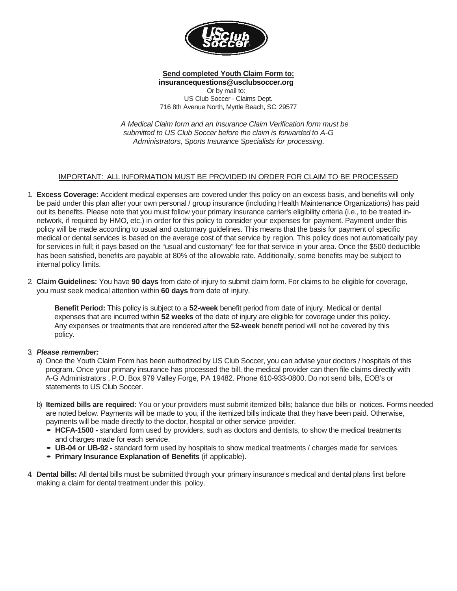

## **Send completed Youth Claim Form to:**

**insurancequestions@usclubsoccer.org**  Or by mail to: US Club Soccer - Claims Dept. 716 8th Avenue North, Myrtle Beach, SC 29577

*A Medical Claim form and an Insurance Claim Verification form must be submitted to US Club Soccer before the claim is forwarded to A-G Administrators, Sports Insurance Specialists for processing*.

#### IMPORTANT: ALL INFORMATION MUST BE PROVIDED IN ORDER FOR CLAIM TO BE PROCESSED

- 1. **Excess Coverage:** Accident medical expenses are covered under this policy on an excess basis, and benefits will only be paid under this plan after your own personal / group insurance (including Health Maintenance Organizations) has paid out its benefits. Please note that you must follow your primary insurance carrier's eligibility criteria (i.e., to be treated innetwork, if required by HMO, etc.) in order for this policy to consider your expenses for payment. Payment under this policy will be made according to usual and customary guidelines. This means that the basis for payment of specific medical or dental services is based on the average cost of that service by region. This policy does not automatically pay for services in full; it pays based on the "usual and customary" fee for that service in your area. Once the \$500 deductible has been satisfied, benefits are payable at 80% of the allowable rate. Additionally, some benefits may be subject to internal policy limits.
- 2. **Claim Guidelines:** You have **90 days** from date of injury to submit claim form. For claims to be eligible for coverage, you must seek medical attention within **60 days** from date of injury.

**Benefit Period:** This policy is subject to a **52-week** benefit period from date of injury. Medical or dental expenses that are incurred within **52 weeks** of the date of injury are eligible for coverage under this policy. Any expenses or treatments that are rendered after the **52-week** benefit period will not be covered by this policy.

#### 3. *Please remember:*

- a) Once the Youth Claim Form has been authorized by US Club Soccer, you can advise your doctors / hospitals of this program. Once your primary insurance has processed the bill, the medical provider can then file claims directly with A-G Administrators , P.O. Box 979 Valley Forge, PA 19482. Phone 610-933-0800. Do not send bills, EOB's or statements to US Club Soccer.
- b) **Itemized bills are required:** You or your providers must submit itemized bills; balance due bills or notices. Forms needed are noted below. Payments will be made to you, if the itemized bills indicate that they have been paid. Otherwise, payments will be made directly to the doctor, hospital or other service provider.
	- **HCFA-1500** standard form used by providers, such as doctors and dentists, to show the medical treatments and charges made for each service.
	- **UB-04 or UB-92** standard form used by hospitals to show medical treatments / charges made for services.
	- **Primary Insurance Explanation of Benefits** (if applicable).
- 4. **Dental bills:** All dental bills must be submitted through your primary insurance's medical and dental plans first before making a claim for dental treatment under this policy.